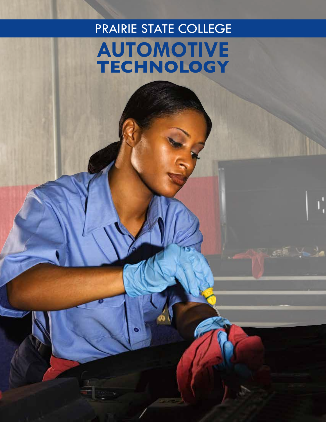# PRAIRIE STATE COLLEGE **Automotive technology**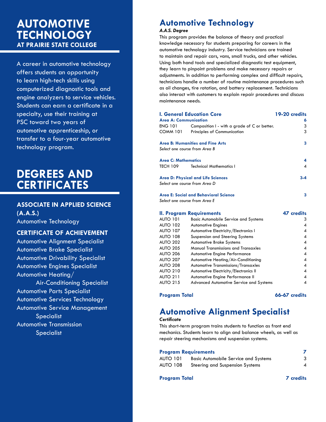### **automotive technology at Prairie State College**

A career in automotive technology offers students an opportunity to learn high-tech skills using computerized diagnostic tools and engine analyzers to service vehicles. Students can earn a certificate in a specialty, use their training at PSC toward two years of automotive apprenticeship, or transfer to a four-year automotive technology program.

### **degrees and certificates**

### **Associate in Applied Science (A.A.S.)**

Automotive Technology

#### **Certificate of Achievement**

Automotive Alignment Specialist Automotive Brake Specialist Automotive Drivability Specialist Automotive Engines Specialist Automotive Heating/ Air-Conditioning Specialist

Automotive Parts Specialist Automotive Services Technology Automotive Service Management

Specialist

Automotive Transmission **Specialist** 

### **Automotive Technology**

#### *A.A.S. Degree*

This program provides the balance of theory and practical knowledge necessary for students preparing for careers in the automotive technology industry. Service technicians are trained to maintain and repair cars, vans, small trucks, and other vehicles. Using both hand tools and specialized diagnostic test equipment, they learn to pinpoint problems and make necessary repairs or adjustments. In addition to performing complex and difficult repairs, technicians handle a number of routine maintenance procedures such as oil changes, tire rotation, and battery replacement. Technicians also interact with customers to explain repair procedures and discuss maintenance needs.

|                              | l. General Education Core                     | 19-20 credits |
|------------------------------|-----------------------------------------------|---------------|
| <b>Area A: Communication</b> |                                               | 6             |
| ENG 101                      | Composition I - with a grade of C or better.  | 3             |
| COMM 101                     | Principles of Communication                   | 3             |
|                              | <b>Area B: Humanities and Fine Arts</b>       | 3             |
|                              | Select one course from Area B                 |               |
| Area C: Mathematics          |                                               | 4             |
| TECH 109                     | <b>Technical Mathematics I</b>                | 4             |
|                              | Area D: Physical and Life Sciences            | $3 - 4$       |
|                              | Select one course from Area D                 |               |
|                              | Area E: Social and Behavioral Science         | 3             |
|                              | Select one course from Area E                 |               |
|                              | II. Program Requirements                      | 47 credits    |
|                              | AUTO 101 Basic Automobile Service and Systems |               |
|                              | ALITO 102 Automotive Engines                  | Λ             |

| AUTO 101 | <b>Basic Automobile Service and Systems</b>    | 3              |
|----------|------------------------------------------------|----------------|
| AUTO 102 | <b>Automotive Engines</b>                      | 4              |
| AUTO 107 | Automotive Electricity/Electronics I           | 4              |
| AUTO 108 | Suspension and Steering Systems                | $\overline{4}$ |
| AUTO 202 | <b>Automotive Brake Systems</b>                | $\overline{4}$ |
| AUTO 205 | <b>Manual Transmissions and Transaxles</b>     | $\overline{A}$ |
| AUTO 206 | Automotive Engine Performance                  | 4              |
| AUTO 207 | Automotive Heating/Air-Conditioning            | 4              |
| AUTO 208 | Automotive Transmissions/Transaxles            | $\overline{4}$ |
| AUTO 210 | Automotive Electricity/Electronics II          | 4              |
| AUTO 211 | Automotive Engine Performance II               | 4              |
| AUTO 215 | <b>Advanced Automotive Service and Systems</b> | 4              |
|          |                                                |                |

#### Program Total **66-67** credits

### **Automotive Alignment Specialist**

#### *Certificate*

This short-term program trains students to function as front end mechanics. Students learn to align and balance wheels, as well as repair steering mechanisms and suspension systems.

#### **Program Requirements 7**

| <b>AUTO 101</b> | <b>Basic Automobile Service and Systems</b> |  |
|-----------------|---------------------------------------------|--|
| <b>AUTO 108</b> | Steering and Suspension Systems             |  |

#### **Program Total 7 credits**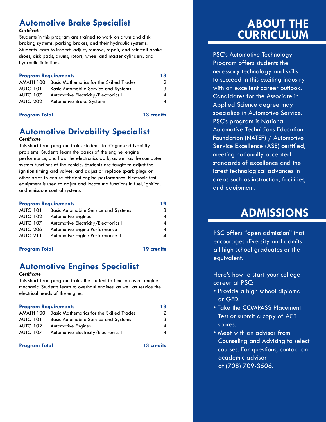### **Automotive Brake Specialist**

#### *Certificate*

Students in this program are trained to work on drum and disk braking systems, parking brakes, and their hydraulic systems. Students learn to inspect, adjust, remove, repair, and reinstall brake shoes, disk pads, drums, rotors, wheel and master cylinders, and hydraulic fluid lines.

| <b>Program Requirements</b> |                                                           | 13 |
|-----------------------------|-----------------------------------------------------------|----|
|                             | <b>AMATH 100 Basic Mathematics for the Skilled Trades</b> | 2  |
| <b>AUTO 101</b>             | <b>Basic Automobile Service and Systems</b>               | 3  |
| <b>AUTO 107</b>             | Automotive Electricity/Electronics I                      | 4  |
| <b>AUTO 202</b>             | <b>Automotive Brake Systems</b>                           | 4  |

#### **Program Total 13 credits**

### **Automotive Drivability Specialist**

#### *Certificate*

This short-term program trains students to diagnose drivability problems. Students learn the basics of the engine, engine performance, and how the electronics work, as well as the computer system functions of the vehicle. Students are taught to adjust the ignition timing and valves, and adjust or replace spark plugs or other parts to ensure efficient engine performance. Electronic test equipment is used to adjust and locate malfunctions in fuel, ignition, and emissions control systems.

| <b>Program Requirements</b> |                                             | 19 |
|-----------------------------|---------------------------------------------|----|
| <b>AUTO 101</b>             | <b>Basic Automobile Service and Systems</b> | 3  |
| <b>AUTO 102</b>             | <b>Automotive Engines</b>                   | 4  |
| <b>AUTO 107</b>             | Automotive Electricity/Electronics I        | 4  |
| <b>AUTO 206</b>             | Automotive Engine Performance               | 4  |
| <b>AUTO 211</b>             | Automotive Engine Performance II            |    |

#### **Program Total 19 credits**

### **Automotive Engines Specialist**

#### *Certificate*

This short-term program trains the student to function as an engine mechanic. Students learn to overhaul engines, as well as service the electrical needs of the engine.

#### **Program Requirements 13**

|                 | <b>AMATH 100 Basic Mathematics for the Skilled Trades</b> | 2 |
|-----------------|-----------------------------------------------------------|---|
| <b>AUTO 101</b> | <b>Basic Automobile Service and Systems</b>               | 3 |
| <b>AUTO 102</b> | <b>Automotive Engines</b>                                 | 4 |
| <b>AUTO 107</b> | Automotive Electricity/Electronics I                      | 4 |

#### **Program Total 13 credits**

### **About the Curriculum**

PSC's Automotive Technology Program offers students the necessary technology and skills to succeed in this exciting industry with an excellent career outlook. Candidates for the Associate in Applied Science degree may specialize in Automotive Service. PSC's program is National Automotive Technicians Education Foundation (NATEF) / Automotive Service Excellence (ASE) certified, meeting nationally accepted standards of excellence and the latest technological advances in areas such as instruction, facilities, and equipment.

### **Admissions**

PSC offers "open admission" that encourages diversity and admits all high school graduates or the equivalent.

Here's how to start your college career at PSC:

- Provide a high school diploma or GED.
- Take the COMPASS Placement Test or submit a copy of ACT scores.
- Meet with an advisor from Counseling and Advising to select courses. For questions, contact an academic advisor at (708) 709-3506.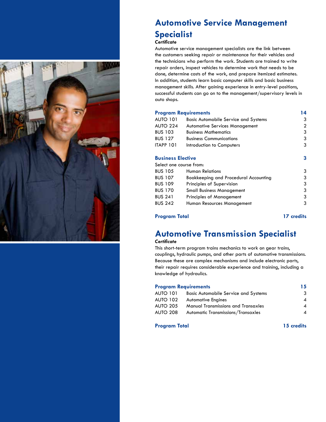

### **Automotive Service Management Specialist**

#### *Certificate*

Automotive service management specialists are the link between the customers seeking repair or maintenance for their vehicles and the technicians who perform the work. Students are trained to write repair orders, inspect vehicles to determine work that needs to be done, determine costs of the work, and prepare itemized estimates. In addition, students learn basic computer skills and basic business management skills. After gaining experience in entry-level positions, successful students can go on to the management/supervisory levels in auto shops.

#### **Program Requirements 14**

| <b>AUTO 101</b>          | <b>Basic Automobile Service and Systems</b> | 3 |
|--------------------------|---------------------------------------------|---|
| <b>AUTO 224</b>          | <b>Automotive Services Management</b>       | 2 |
| <b>BUS 103</b>           | <b>Business Mathematics</b>                 | 3 |
| <b>BUS 127</b>           | <b>Business Communications</b>              | 3 |
| <b>ITAPP 101</b>         | Introduction to Computers                   | 3 |
| <b>Business Elective</b> |                                             | 3 |
| Select one course from:  |                                             |   |
| <b>BUS 105</b>           | <b>Human Relations</b>                      | 3 |
| <b>BUS 107</b>           | Bookkeeping and Procedural Accounting       | 3 |
| <b>BUS 109</b>           | Principles of Supervision                   | 3 |
| <b>BUS 170</b>           | <b>Small Business Management</b>            | 3 |
| <b>BUS 241</b>           | <b>Principles of Management</b>             | 3 |
| <b>BUS 242</b>           | Human Resources Management                  | 3 |
|                          |                                             |   |

#### **Program Total 17 credits**

### **Automotive Transmission Specialist**

#### *Certificate*

This short-term program trains mechanics to work on gear trains, couplings, hydraulic pumps, and other parts of automotive transmissions. Because these are complex mechanisms and include electronic parts, their repair requires considerable experience and training, including a knowledge of hydraulics.

#### **Program Requirements 15**

| <b>AUTO 101</b> | <b>Basic Automobile Service and Systems</b> | 3 |
|-----------------|---------------------------------------------|---|
| <b>AUTO 102</b> | <b>Automotive Engines</b>                   | 4 |
| <b>AUTO 205</b> | <b>Manual Transmissions and Transaxles</b>  | 4 |
| <b>AUTO 208</b> | Automatic Transmissions/Transaxles          | ◢ |
|                 |                                             |   |

#### **Program Total 15 credits**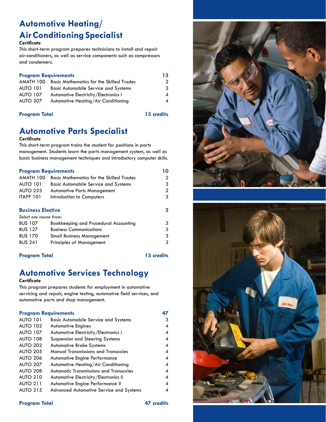### **Automotive Heating/ Air Conditioning Specialist**

#### *Certificate*

This short-term program prepares technicians to install and repair air-conditioners, as well as service components such as compressors and condensers.

#### **Program Requirements 13**

| AMATH 100       | <b>Basic Mathematics for the Skilled Trades</b> |   |
|-----------------|-------------------------------------------------|---|
| <b>AUTO 101</b> | <b>Basic Automobile Service and Systems</b>     | 3 |
| <b>AUTO 107</b> | Automotive Electricity/Electronics I            | 4 |
| <b>AUTO 207</b> | Automotive Heating/Air Conditioning             | 4 |
|                 |                                                 |   |

#### **Program Total 13 credits**

### **Automotive Parts Specialist**

#### *Certificate*

This short-term program trains the student for positions in parts management. Students learn the parts management system, as well as basic business management techniques and introductory computer skills.

| <b>Program Requirements</b>                     |   |
|-------------------------------------------------|---|
| <b>Basic Mathematics for the Skilled Trades</b> | 2 |
| <b>Basic Automobile Service and Systems</b>     | 3 |
| <b>Automotive Parts Management</b>              | 2 |
| Introduction to Computers                       | 3 |
|                                                 |   |
| <b>Business Elective</b>                        |   |
| Select one course from:                         |   |
| Bookkeeping and Procedural Accounting           | 3 |
| <b>Business Communications</b>                  | 3 |
| <b>Small Business Management</b>                | 3 |
| <b>Principles of Management</b>                 | 3 |
|                                                 |   |

#### **Program Total 13 credits**

### **Automotive Services Technology**

#### *Certificate*

This program prepares students for employment in automotive servicing and repair, engine testing, automotive field services, and automotive parts and shop management.

#### **Program Requirements 47**

| <b>AUTO 101</b> | <b>Basic Automobile Service and Systems</b>    | 3 |
|-----------------|------------------------------------------------|---|
| <b>AUTO 102</b> | <b>Automotive Engines</b>                      | 4 |
| <b>AUTO 107</b> | Automotive Electricity/Electronics I           | 4 |
| <b>AUTO 108</b> | Suspension and Steering Systems                | 4 |
| <b>AUTO 202</b> | <b>Automotive Brake Systems</b>                | 4 |
| <b>AUTO 205</b> | <b>Manual Transmissions and Transaxles</b>     | 4 |
| <b>AUTO 206</b> | <b>Automotive Engine Performance</b>           | 4 |
| <b>AUTO 207</b> | Automotive Heating/Air Conditioning            | 4 |
| <b>AUTO 208</b> | <b>Automatic Transmissions and Transaxles</b>  | 4 |
| <b>AUTO 210</b> | Automotive Electricity/Electronics II          | 4 |
| <b>AUTO 211</b> | Automotive Engine Performance II               | 4 |
| <b>AUTO 215</b> | <b>Advanced Automotive Service and Systems</b> |   |





#### **Program Total 47 credits**